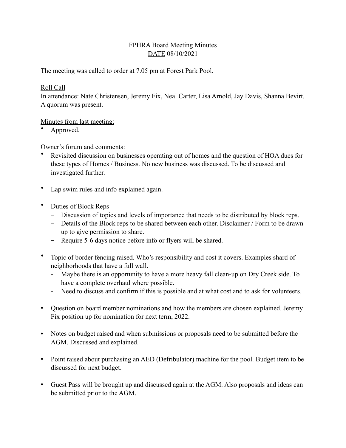# FPHRA Board Meeting Minutes DATE 08/10/2021

The meeting was called to order at 7.05 pm at Forest Park Pool.

## Roll Call

In attendance: Nate Christensen, Jeremy Fix, Neal Carter, Lisa Arnold, Jay Davis, Shanna Bevirt. A quorum was present.

# Minutes from last meeting:

• Approved.

# Owner's forum and comments:

- Revisited discussion on businesses operating out of homes and the question of HOA dues for these types of Homes / Business. No new business was discussed. To be discussed and investigated further.
- Lap swim rules and info explained again.
- Duties of Block Reps
	- Discussion of topics and levels of importance that needs to be distributed by block reps.
	- Details of the Block reps to be shared between each other. Disclaimer / Form to be drawn up to give permission to share.
	- Require 5-6 days notice before info or flyers will be shared.
- Topic of border fencing raised. Who's responsibility and cost it covers. Examples shard of neighborhoods that have a full wall.
	- Maybe there is an opportunity to have a more heavy fall clean-up on Dry Creek side. To have a complete overhaul where possible.
	- Need to discuss and confirm if this is possible and at what cost and to ask for volunteers.
- Question on board member nominations and how the members are chosen explained. Jeremy Fix position up for nomination for next term, 2022.
- Notes on budget raised and when submissions or proposals need to be submitted before the AGM. Discussed and explained.
- Point raised about purchasing an AED (Defribulator) machine for the pool. Budget item to be discussed for next budget.
- Guest Pass will be brought up and discussed again at the AGM. Also proposals and ideas can be submitted prior to the AGM.